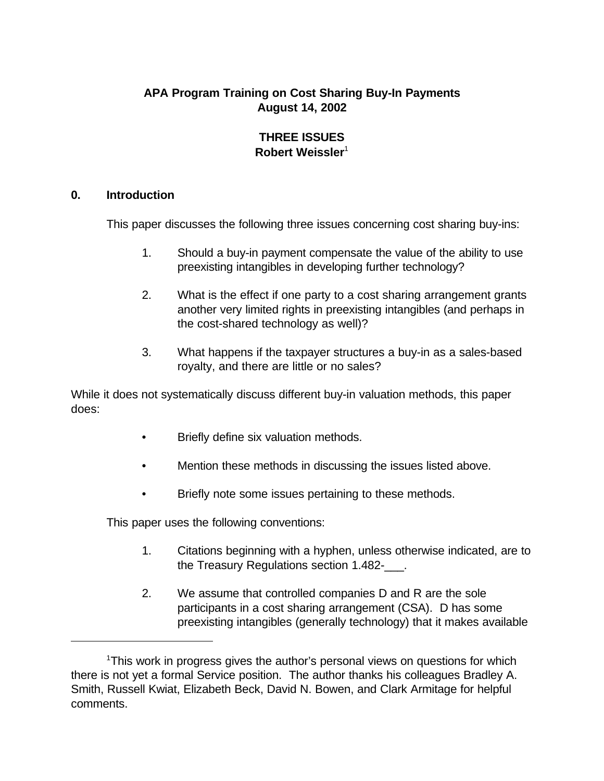# **APA Program Training on Cost Sharing Buy-In Payments August 14, 2002**

#### **THREE ISSUES Robert Weissler**<sup>1</sup>

#### **0. Introduction**

This paper discusses the following three issues concerning cost sharing buy-ins:

- 1. Should a buy-in payment compensate the value of the ability to use preexisting intangibles in developing further technology?
- 2. What is the effect if one party to a cost sharing arrangement grants another very limited rights in preexisting intangibles (and perhaps in the cost-shared technology as well)?
- 3. What happens if the taxpayer structures a buy-in as a sales-based royalty, and there are little or no sales?

While it does not systematically discuss different buy-in valuation methods, this paper does:

- Briefly define six valuation methods.
- Mention these methods in discussing the issues listed above.
- Briefly note some issues pertaining to these methods.

This paper uses the following conventions:

- 1. Citations beginning with a hyphen, unless otherwise indicated, are to the Treasury Regulations section 1.482-\_\_\_.
- 2. We assume that controlled companies D and R are the sole participants in a cost sharing arrangement (CSA). D has some preexisting intangibles (generally technology) that it makes available

<sup>&</sup>lt;sup>1</sup>This work in progress gives the author's personal views on questions for which there is not yet a formal Service position. The author thanks his colleagues Bradley A. Smith, Russell Kwiat, Elizabeth Beck, David N. Bowen, and Clark Armitage for helpful comments.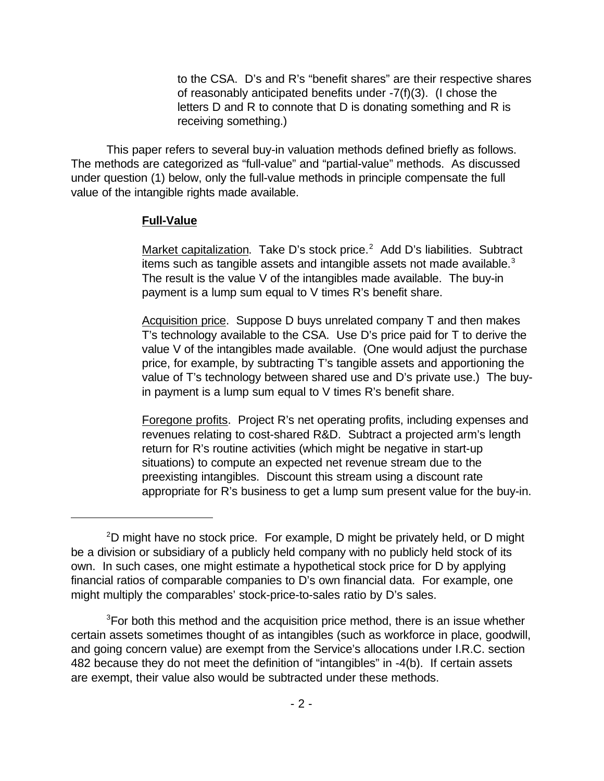to the CSA. D's and R's "benefit shares" are their respective shares of reasonably anticipated benefits under -7(f)(3). (I chose the letters D and R to connote that D is donating something and R is receiving something.)

This paper refers to several buy-in valuation methods defined briefly as follows. The methods are categorized as "full-value" and "partial-value" methods. As discussed under question (1) below, only the full-value methods in principle compensate the full value of the intangible rights made available.

#### **Full-Value**

Market capitalization. Take D's stock price.<sup>2</sup> Add D's liabilities. Subtract items such as tangible assets and intangible assets not made available. $3$ The result is the value V of the intangibles made available. The buy-in payment is a lump sum equal to V times R's benefit share.

Acquisition price. Suppose D buys unrelated company T and then makes T's technology available to the CSA. Use D's price paid for T to derive the value V of the intangibles made available. (One would adjust the purchase price, for example, by subtracting T's tangible assets and apportioning the value of T's technology between shared use and D's private use.) The buyin payment is a lump sum equal to V times R's benefit share.

Foregone profits. Project R's net operating profits, including expenses and revenues relating to cost-shared R&D. Subtract a projected arm's length return for R's routine activities (which might be negative in start-up situations) to compute an expected net revenue stream due to the preexisting intangibles. Discount this stream using a discount rate appropriate for R's business to get a lump sum present value for the buy-in.

 $2D$  might have no stock price. For example, D might be privately held, or D might be a division or subsidiary of a publicly held company with no publicly held stock of its own. In such cases, one might estimate a hypothetical stock price for D by applying financial ratios of comparable companies to D's own financial data. For example, one might multiply the comparables' stock-price-to-sales ratio by D's sales.

<sup>&</sup>lt;sup>3</sup>For both this method and the acquisition price method, there is an issue whether certain assets sometimes thought of as intangibles (such as workforce in place, goodwill, and going concern value) are exempt from the Service's allocations under I.R.C. section 482 because they do not meet the definition of "intangibles" in -4(b). If certain assets are exempt, their value also would be subtracted under these methods.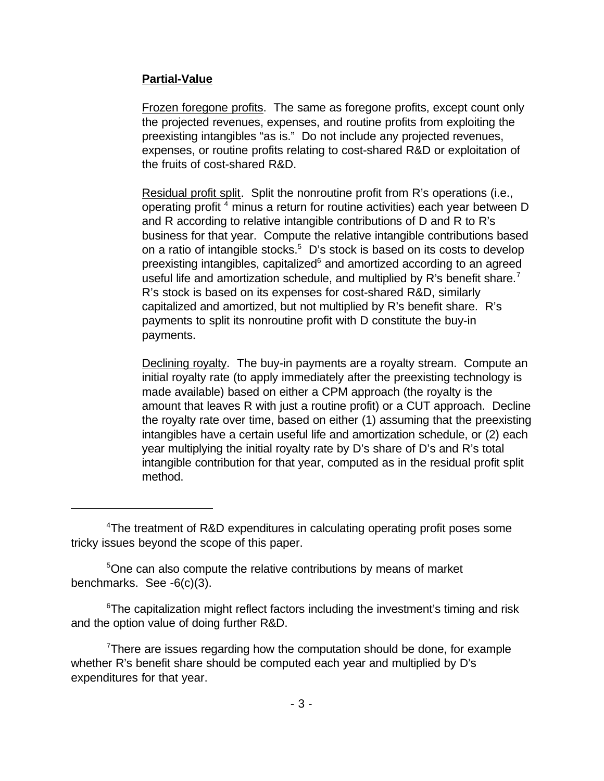### **Partial-Value**

Frozen foregone profits. The same as foregone profits, except count only the projected revenues, expenses, and routine profits from exploiting the preexisting intangibles "as is." Do not include any projected revenues, expenses, or routine profits relating to cost-shared R&D or exploitation of the fruits of cost-shared R&D.

Residual profit split. Split the nonroutine profit from R's operations (i.e., operating profit <sup>4</sup> minus a return for routine activities) each year between D and R according to relative intangible contributions of D and R to R's business for that year. Compute the relative intangible contributions based on a ratio of intangible stocks.<sup>5</sup> D's stock is based on its costs to develop preexisting intangibles, capitalized<sup>6</sup> and amortized according to an agreed useful life and amortization schedule, and multiplied by R's benefit share.<sup>7</sup> R's stock is based on its expenses for cost-shared R&D, similarly capitalized and amortized, but not multiplied by R's benefit share. R's payments to split its nonroutine profit with D constitute the buy-in payments.

Declining royalty. The buy-in payments are a royalty stream. Compute an initial royalty rate (to apply immediately after the preexisting technology is made available) based on either a CPM approach (the royalty is the amount that leaves R with just a routine profit) or a CUT approach. Decline the royalty rate over time, based on either (1) assuming that the preexisting intangibles have a certain useful life and amortization schedule, or (2) each year multiplying the initial royalty rate by D's share of D's and R's total intangible contribution for that year, computed as in the residual profit split method.

<sup>5</sup>One can also compute the relative contributions by means of market benchmarks. See -6(c)(3).

<sup>6</sup>The capitalization might reflect factors including the investment's timing and risk and the option value of doing further R&D.

There are issues regarding how the computation should be done, for example whether R's benefit share should be computed each year and multiplied by D's expenditures for that year.

<sup>4</sup>The treatment of R&D expenditures in calculating operating profit poses some tricky issues beyond the scope of this paper.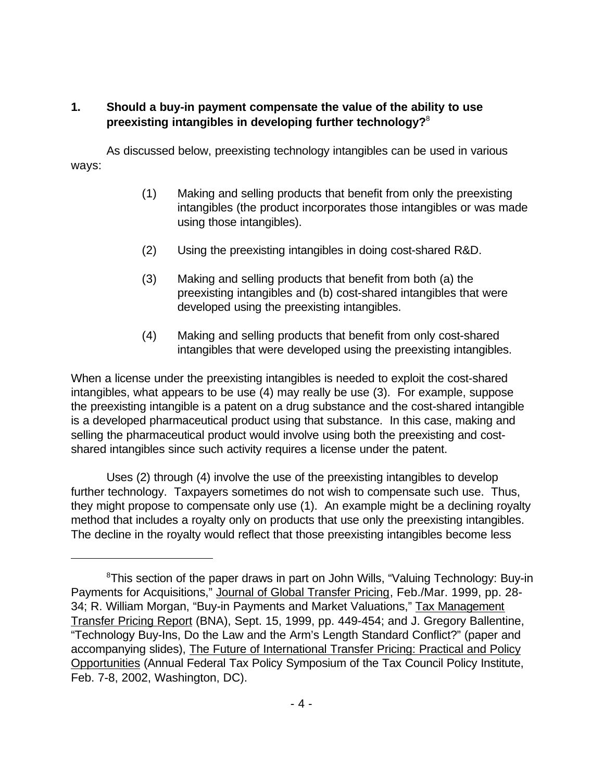## **1. Should a buy-in payment compensate the value of the ability to use preexisting intangibles in developing further technology?**<sup>8</sup>

As discussed below, preexisting technology intangibles can be used in various ways:

- (1) Making and selling products that benefit from only the preexisting intangibles (the product incorporates those intangibles or was made using those intangibles).
- (2) Using the preexisting intangibles in doing cost-shared R&D.
- (3) Making and selling products that benefit from both (a) the preexisting intangibles and (b) cost-shared intangibles that were developed using the preexisting intangibles.
- (4) Making and selling products that benefit from only cost-shared intangibles that were developed using the preexisting intangibles.

When a license under the preexisting intangibles is needed to exploit the cost-shared intangibles, what appears to be use (4) may really be use (3). For example, suppose the preexisting intangible is a patent on a drug substance and the cost-shared intangible is a developed pharmaceutical product using that substance. In this case, making and selling the pharmaceutical product would involve using both the preexisting and costshared intangibles since such activity requires a license under the patent.

Uses (2) through (4) involve the use of the preexisting intangibles to develop further technology. Taxpayers sometimes do not wish to compensate such use. Thus, they might propose to compensate only use (1). An example might be a declining royalty method that includes a royalty only on products that use only the preexisting intangibles. The decline in the royalty would reflect that those preexisting intangibles become less

<sup>&</sup>lt;sup>8</sup>This section of the paper draws in part on John Wills, "Valuing Technology: Buy-in Payments for Acquisitions," Journal of Global Transfer Pricing, Feb./Mar. 1999, pp. 28- 34; R. William Morgan, "Buy-in Payments and Market Valuations," Tax Management Transfer Pricing Report (BNA), Sept. 15, 1999, pp. 449-454; and J. Gregory Ballentine, "Technology Buy-Ins, Do the Law and the Arm's Length Standard Conflict?" (paper and accompanying slides), The Future of International Transfer Pricing: Practical and Policy Opportunities (Annual Federal Tax Policy Symposium of the Tax Council Policy Institute, Feb. 7-8, 2002, Washington, DC).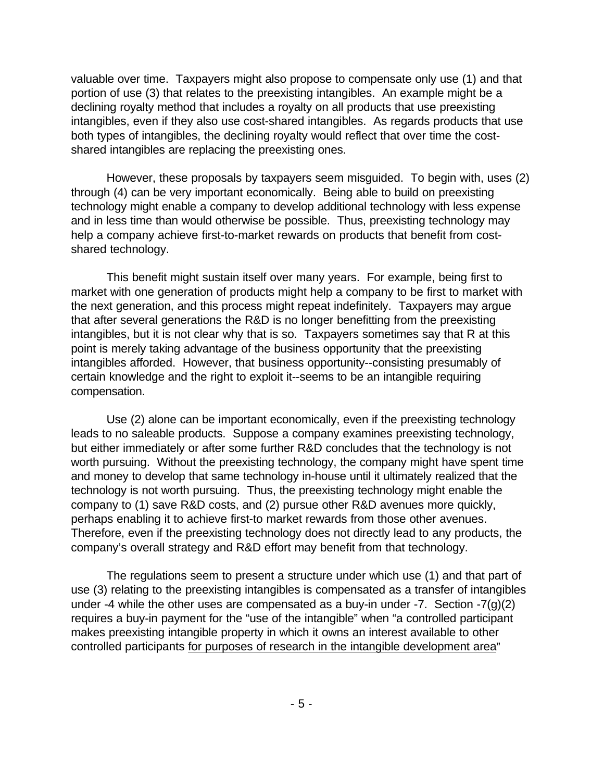valuable over time. Taxpayers might also propose to compensate only use (1) and that portion of use (3) that relates to the preexisting intangibles. An example might be a declining royalty method that includes a royalty on all products that use preexisting intangibles, even if they also use cost-shared intangibles. As regards products that use both types of intangibles, the declining royalty would reflect that over time the costshared intangibles are replacing the preexisting ones.

However, these proposals by taxpayers seem misguided. To begin with, uses (2) through (4) can be very important economically. Being able to build on preexisting technology might enable a company to develop additional technology with less expense and in less time than would otherwise be possible. Thus, preexisting technology may help a company achieve first-to-market rewards on products that benefit from costshared technology.

This benefit might sustain itself over many years. For example, being first to market with one generation of products might help a company to be first to market with the next generation, and this process might repeat indefinitely. Taxpayers may argue that after several generations the R&D is no longer benefitting from the preexisting intangibles, but it is not clear why that is so. Taxpayers sometimes say that R at this point is merely taking advantage of the business opportunity that the preexisting intangibles afforded. However, that business opportunity--consisting presumably of certain knowledge and the right to exploit it--seems to be an intangible requiring compensation.

Use (2) alone can be important economically, even if the preexisting technology leads to no saleable products. Suppose a company examines preexisting technology, but either immediately or after some further R&D concludes that the technology is not worth pursuing. Without the preexisting technology, the company might have spent time and money to develop that same technology in-house until it ultimately realized that the technology is not worth pursuing. Thus, the preexisting technology might enable the company to (1) save R&D costs, and (2) pursue other R&D avenues more quickly, perhaps enabling it to achieve first-to market rewards from those other avenues. Therefore, even if the preexisting technology does not directly lead to any products, the company's overall strategy and R&D effort may benefit from that technology.

The regulations seem to present a structure under which use (1) and that part of use (3) relating to the preexisting intangibles is compensated as a transfer of intangibles under -4 while the other uses are compensated as a buy-in under -7. Section -7 $(g)(2)$ requires a buy-in payment for the "use of the intangible" when "a controlled participant makes preexisting intangible property in which it owns an interest available to other controlled participants for purposes of research in the intangible development area"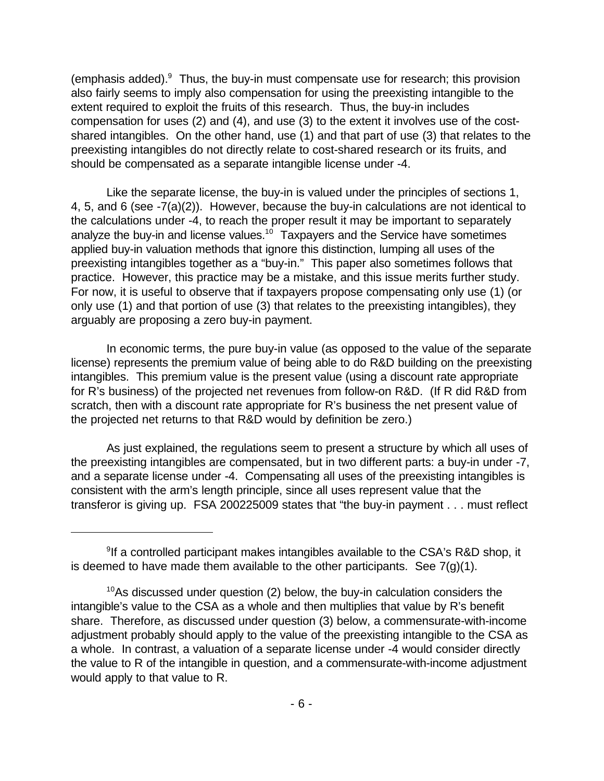(emphasis added). Thus, the buy-in must compensate use for research; this provision also fairly seems to imply also compensation for using the preexisting intangible to the extent required to exploit the fruits of this research. Thus, the buy-in includes compensation for uses (2) and (4), and use (3) to the extent it involves use of the costshared intangibles. On the other hand, use (1) and that part of use (3) that relates to the preexisting intangibles do not directly relate to cost-shared research or its fruits, and should be compensated as a separate intangible license under -4.

Like the separate license, the buy-in is valued under the principles of sections 1, 4, 5, and 6 (see -7(a)(2)). However, because the buy-in calculations are not identical to the calculations under -4, to reach the proper result it may be important to separately analyze the buy-in and license values.<sup>10</sup> Taxpayers and the Service have sometimes applied buy-in valuation methods that ignore this distinction, lumping all uses of the preexisting intangibles together as a "buy-in." This paper also sometimes follows that practice. However, this practice may be a mistake, and this issue merits further study. For now, it is useful to observe that if taxpayers propose compensating only use (1) (or only use (1) and that portion of use (3) that relates to the preexisting intangibles), they arguably are proposing a zero buy-in payment.

In economic terms, the pure buy-in value (as opposed to the value of the separate license) represents the premium value of being able to do R&D building on the preexisting intangibles. This premium value is the present value (using a discount rate appropriate for R's business) of the projected net revenues from follow-on R&D. (If R did R&D from scratch, then with a discount rate appropriate for R's business the net present value of the projected net returns to that R&D would by definition be zero.)

As just explained, the regulations seem to present a structure by which all uses of the preexisting intangibles are compensated, but in two different parts: a buy-in under -7, and a separate license under -4. Compensating all uses of the preexisting intangibles is consistent with the arm's length principle, since all uses represent value that the transferor is giving up. FSA 200225009 states that "the buy-in payment . . . must reflect

<sup>&</sup>lt;sup>9</sup>If a controlled participant makes intangibles available to the CSA's R&D shop, it is deemed to have made them available to the other participants. See  $7(q)(1)$ .

 $10$ As discussed under question (2) below, the buy-in calculation considers the intangible's value to the CSA as a whole and then multiplies that value by R's benefit share. Therefore, as discussed under question (3) below, a commensurate-with-income adjustment probably should apply to the value of the preexisting intangible to the CSA as a whole. In contrast, a valuation of a separate license under -4 would consider directly the value to R of the intangible in question, and a commensurate-with-income adjustment would apply to that value to R.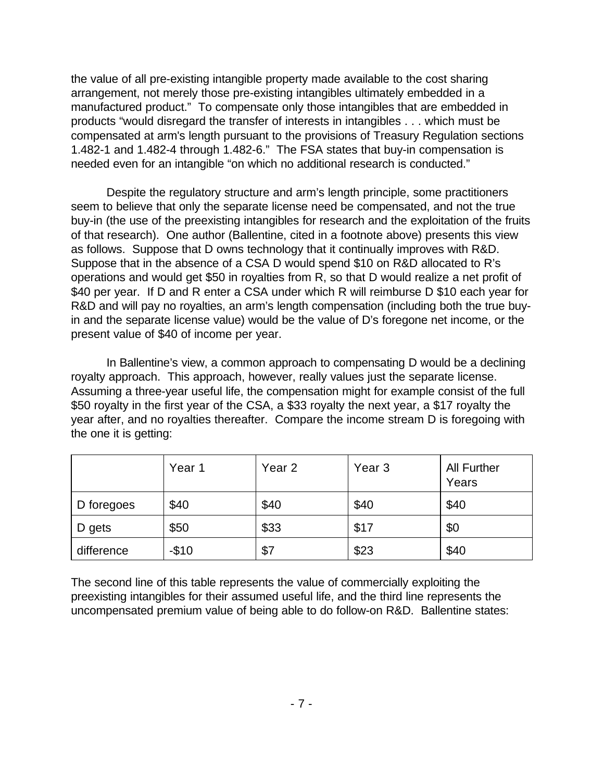the value of all pre-existing intangible property made available to the cost sharing arrangement, not merely those pre-existing intangibles ultimately embedded in a manufactured product." To compensate only those intangibles that are embedded in products "would disregard the transfer of interests in intangibles . . . which must be compensated at arm's length pursuant to the provisions of Treasury Regulation sections 1.482-1 and 1.482-4 through 1.482-6." The FSA states that buy-in compensation is needed even for an intangible "on which no additional research is conducted."

Despite the regulatory structure and arm's length principle, some practitioners seem to believe that only the separate license need be compensated, and not the true buy-in (the use of the preexisting intangibles for research and the exploitation of the fruits of that research). One author (Ballentine, cited in a footnote above) presents this view as follows. Suppose that D owns technology that it continually improves with R&D. Suppose that in the absence of a CSA D would spend \$10 on R&D allocated to R's operations and would get \$50 in royalties from R, so that D would realize a net profit of \$40 per year. If D and R enter a CSA under which R will reimburse D \$10 each year for R&D and will pay no royalties, an arm's length compensation (including both the true buyin and the separate license value) would be the value of D's foregone net income, or the present value of \$40 of income per year.

In Ballentine's view, a common approach to compensating D would be a declining royalty approach. This approach, however, really values just the separate license. Assuming a three-year useful life, the compensation might for example consist of the full \$50 royalty in the first year of the CSA, a \$33 royalty the next year, a \$17 royalty the year after, and no royalties thereafter. Compare the income stream D is foregoing with the one it is getting:

|            | Year 1 | Year <sub>2</sub> | Year <sub>3</sub> | <b>All Further</b><br>Years |
|------------|--------|-------------------|-------------------|-----------------------------|
| D foregoes | \$40   | \$40              | \$40              | \$40                        |
| D gets     | \$50   | \$33              | \$17              | \$0                         |
| difference | $-$10$ | \$7               | \$23              | \$40                        |

The second line of this table represents the value of commercially exploiting the preexisting intangibles for their assumed useful life, and the third line represents the uncompensated premium value of being able to do follow-on R&D. Ballentine states: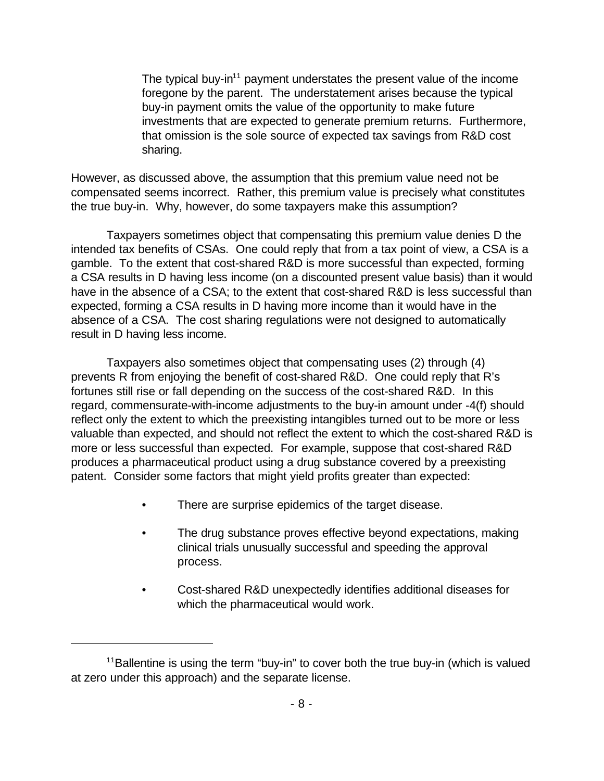The typical buy-in<sup>11</sup> payment understates the present value of the income foregone by the parent. The understatement arises because the typical buy-in payment omits the value of the opportunity to make future investments that are expected to generate premium returns. Furthermore, that omission is the sole source of expected tax savings from R&D cost sharing.

However, as discussed above, the assumption that this premium value need not be compensated seems incorrect. Rather, this premium value is precisely what constitutes the true buy-in. Why, however, do some taxpayers make this assumption?

Taxpayers sometimes object that compensating this premium value denies D the intended tax benefits of CSAs. One could reply that from a tax point of view, a CSA is a gamble. To the extent that cost-shared R&D is more successful than expected, forming a CSA results in D having less income (on a discounted present value basis) than it would have in the absence of a CSA; to the extent that cost-shared R&D is less successful than expected, forming a CSA results in D having more income than it would have in the absence of a CSA. The cost sharing regulations were not designed to automatically result in D having less income.

Taxpayers also sometimes object that compensating uses (2) through (4) prevents R from enjoying the benefit of cost-shared R&D. One could reply that R's fortunes still rise or fall depending on the success of the cost-shared R&D. In this regard, commensurate-with-income adjustments to the buy-in amount under -4(f) should reflect only the extent to which the preexisting intangibles turned out to be more or less valuable than expected, and should not reflect the extent to which the cost-shared R&D is more or less successful than expected. For example, suppose that cost-shared R&D produces a pharmaceutical product using a drug substance covered by a preexisting patent. Consider some factors that might yield profits greater than expected:

- There are surprise epidemics of the target disease.
- The drug substance proves effective beyond expectations, making clinical trials unusually successful and speeding the approval process.
- Cost-shared R&D unexpectedly identifies additional diseases for which the pharmaceutical would work.

 $11$ Ballentine is using the term "buy-in" to cover both the true buy-in (which is valued at zero under this approach) and the separate license.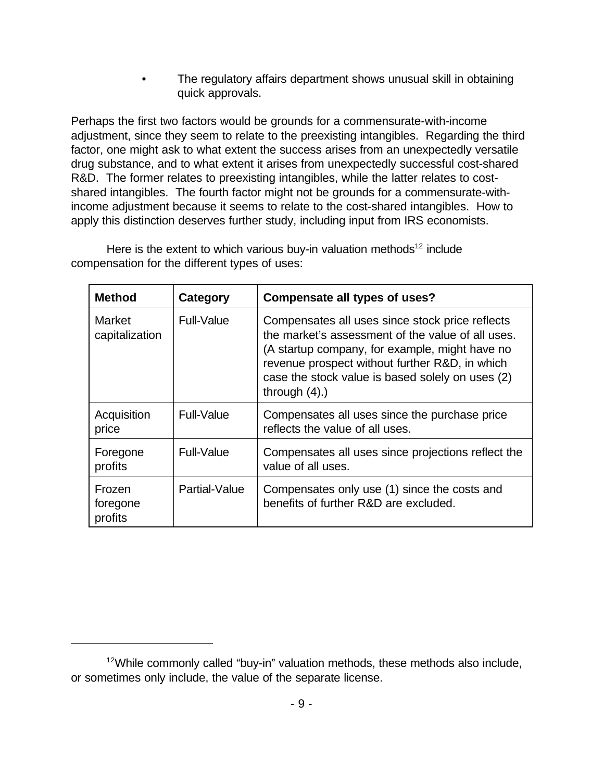The regulatory affairs department shows unusual skill in obtaining quick approvals.

Perhaps the first two factors would be grounds for a commensurate-with-income adjustment, since they seem to relate to the preexisting intangibles. Regarding the third factor, one might ask to what extent the success arises from an unexpectedly versatile drug substance, and to what extent it arises from unexpectedly successful cost-shared R&D. The former relates to preexisting intangibles, while the latter relates to costshared intangibles. The fourth factor might not be grounds for a commensurate-withincome adjustment because it seems to relate to the cost-shared intangibles. How to apply this distinction deserves further study, including input from IRS economists.

| <b>Method</b>                   | Category      | <b>Compensate all types of uses?</b>                                                                                                                                                                                                                                             |
|---------------------------------|---------------|----------------------------------------------------------------------------------------------------------------------------------------------------------------------------------------------------------------------------------------------------------------------------------|
| <b>Market</b><br>capitalization | Full-Value    | Compensates all uses since stock price reflects<br>the market's assessment of the value of all uses.<br>(A startup company, for example, might have no<br>revenue prospect without further R&D, in which<br>case the stock value is based solely on uses (2)<br>through $(4)$ .) |
| Acquisition<br>price            | Full-Value    | Compensates all uses since the purchase price<br>reflects the value of all uses.                                                                                                                                                                                                 |
| Foregone<br>profits             | Full-Value    | Compensates all uses since projections reflect the<br>value of all uses.                                                                                                                                                                                                         |
| Frozen<br>foregone<br>profits   | Partial-Value | Compensates only use (1) since the costs and<br>benefits of further R&D are excluded.                                                                                                                                                                                            |

Here is the extent to which various buy-in valuation methods<sup>12</sup> include compensation for the different types of uses:

 $12$ While commonly called "buy-in" valuation methods, these methods also include, or sometimes only include, the value of the separate license.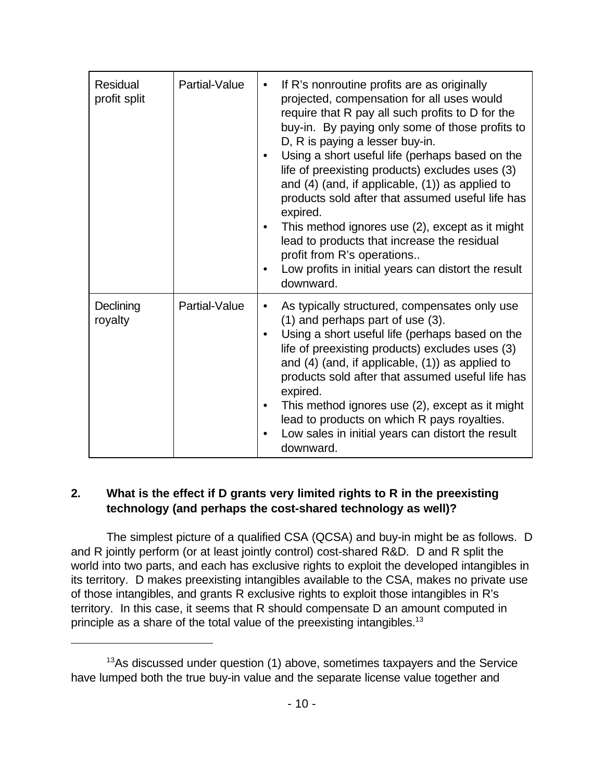| Residual<br>profit split | Partial-Value | If R's nonroutine profits are as originally<br>projected, compensation for all uses would<br>require that R pay all such profits to D for the<br>buy-in. By paying only some of those profits to<br>D, R is paying a lesser buy-in.<br>Using a short useful life (perhaps based on the<br>life of preexisting products) excludes uses (3)<br>and $(4)$ (and, if applicable, $(1)$ ) as applied to<br>products sold after that assumed useful life has<br>expired.<br>This method ignores use (2), except as it might<br>lead to products that increase the residual<br>profit from R's operations<br>Low profits in initial years can distort the result<br>downward. |
|--------------------------|---------------|-----------------------------------------------------------------------------------------------------------------------------------------------------------------------------------------------------------------------------------------------------------------------------------------------------------------------------------------------------------------------------------------------------------------------------------------------------------------------------------------------------------------------------------------------------------------------------------------------------------------------------------------------------------------------|
| Declining<br>royalty     | Partial-Value | As typically structured, compensates only use<br>$(1)$ and perhaps part of use $(3)$ .<br>Using a short useful life (perhaps based on the<br>life of preexisting products) excludes uses (3)<br>and $(4)$ (and, if applicable, $(1)$ ) as applied to<br>products sold after that assumed useful life has<br>expired.<br>This method ignores use (2), except as it might<br>lead to products on which R pays royalties.<br>Low sales in initial years can distort the result<br>downward.                                                                                                                                                                              |

# **2. What is the effect if D grants very limited rights to R in the preexisting technology (and perhaps the cost-shared technology as well)?**

The simplest picture of a qualified CSA (QCSA) and buy-in might be as follows. D and R jointly perform (or at least jointly control) cost-shared R&D. D and R split the world into two parts, and each has exclusive rights to exploit the developed intangibles in its territory. D makes preexisting intangibles available to the CSA, makes no private use of those intangibles, and grants R exclusive rights to exploit those intangibles in R's territory. In this case, it seems that R should compensate D an amount computed in principle as a share of the total value of the preexisting intangibles.<sup>13</sup>

<sup>&</sup>lt;sup>13</sup>As discussed under question (1) above, sometimes taxpayers and the Service have lumped both the true buy-in value and the separate license value together and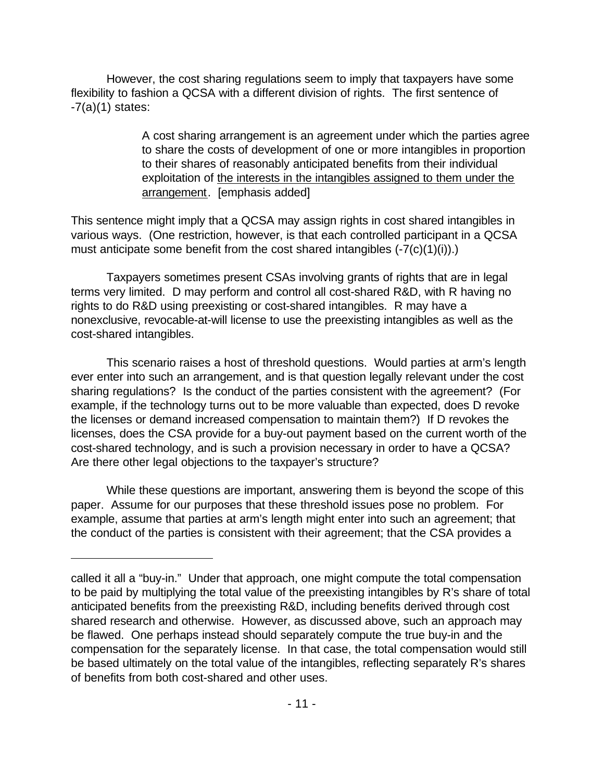However, the cost sharing regulations seem to imply that taxpayers have some flexibility to fashion a QCSA with a different division of rights. The first sentence of  $-7(a)(1)$  states:

> A cost sharing arrangement is an agreement under which the parties agree to share the costs of development of one or more intangibles in proportion to their shares of reasonably anticipated benefits from their individual exploitation of the interests in the intangibles assigned to them under the arrangement. [emphasis added]

This sentence might imply that a QCSA may assign rights in cost shared intangibles in various ways. (One restriction, however, is that each controlled participant in a QCSA must anticipate some benefit from the cost shared intangibles (-7(c)(1)(i)).)

Taxpayers sometimes present CSAs involving grants of rights that are in legal terms very limited. D may perform and control all cost-shared R&D, with R having no rights to do R&D using preexisting or cost-shared intangibles. R may have a nonexclusive, revocable-at-will license to use the preexisting intangibles as well as the cost-shared intangibles.

This scenario raises a host of threshold questions. Would parties at arm's length ever enter into such an arrangement, and is that question legally relevant under the cost sharing regulations? Is the conduct of the parties consistent with the agreement? (For example, if the technology turns out to be more valuable than expected, does D revoke the licenses or demand increased compensation to maintain them?) If D revokes the licenses, does the CSA provide for a buy-out payment based on the current worth of the cost-shared technology, and is such a provision necessary in order to have a QCSA? Are there other legal objections to the taxpayer's structure?

While these questions are important, answering them is beyond the scope of this paper. Assume for our purposes that these threshold issues pose no problem. For example, assume that parties at arm's length might enter into such an agreement; that the conduct of the parties is consistent with their agreement; that the CSA provides a

called it all a "buy-in." Under that approach, one might compute the total compensation to be paid by multiplying the total value of the preexisting intangibles by R's share of total anticipated benefits from the preexisting R&D, including benefits derived through cost shared research and otherwise. However, as discussed above, such an approach may be flawed. One perhaps instead should separately compute the true buy-in and the compensation for the separately license. In that case, the total compensation would still be based ultimately on the total value of the intangibles, reflecting separately R's shares of benefits from both cost-shared and other uses.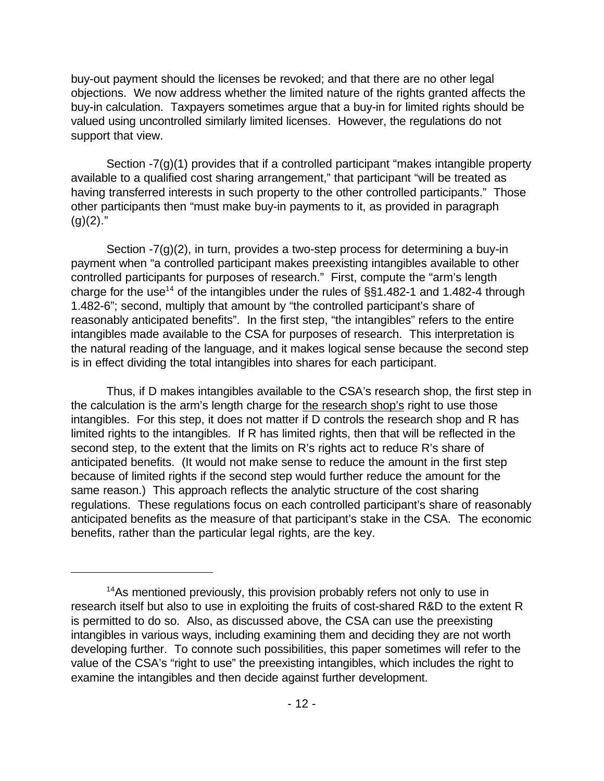buy-out payment should the licenses be revoked; and that there are no other legal objections. We now address whether the limited nature of the rights granted affects the buy-in calculation. Taxpayers sometimes argue that a buy-in for limited rights should be valued using uncontrolled similarly limited licenses. However, the regulations do not support that view.

Section -7(g)(1) provides that if a controlled participant "makes intangible property available to a qualified cost sharing arrangement," that participant "will be treated as having transferred interests in such property to the other controlled participants." Those other participants then "must make buy-in payments to it, as provided in paragraph  $(g)(2)$ ."

Section -7(g)(2), in turn, provides a two-step process for determining a buy-in payment when "a controlled participant makes preexisting intangibles available to other controlled participants for purposes of research." First, compute the "arm's length charge for the use<sup>14</sup> of the intangibles under the rules of  $\S$ §1.482-1 and 1.482-4 through 1.482-6"; second, multiply that amount by "the controlled participant's share of reasonably anticipated benefits". In the first step, "the intangibles" refers to the entire intangibles made available to the CSA for purposes of research. This interpretation is the natural reading of the language, and it makes logical sense because the second step is in effect dividing the total intangibles into shares for each participant.

Thus, if D makes intangibles available to the CSA's research shop, the first step in the calculation is the arm's length charge for the research shop's right to use those intangibles. For this step, it does not matter if D controls the research shop and R has limited rights to the intangibles. If R has limited rights, then that will be reflected in the second step, to the extent that the limits on R's rights act to reduce R's share of anticipated benefits. (It would not make sense to reduce the amount in the first step because of limited rights if the second step would further reduce the amount for the same reason.) This approach reflects the analytic structure of the cost sharing regulations. These regulations focus on each controlled participant's share of reasonably anticipated benefits as the measure of that participant's stake in the CSA. The economic benefits, rather than the particular legal rights, are the key.

<sup>&</sup>lt;sup>14</sup>As mentioned previously, this provision probably refers not only to use in research itself but also to use in exploiting the fruits of cost-shared R&D to the extent R is permitted to do so. Also, as discussed above, the CSA can use the preexisting intangibles in various ways, including examining them and deciding they are not worth developing further. To connote such possibilities, this paper sometimes will refer to the value of the CSA's "right to use" the preexisting intangibles, which includes the right to examine the intangibles and then decide against further development.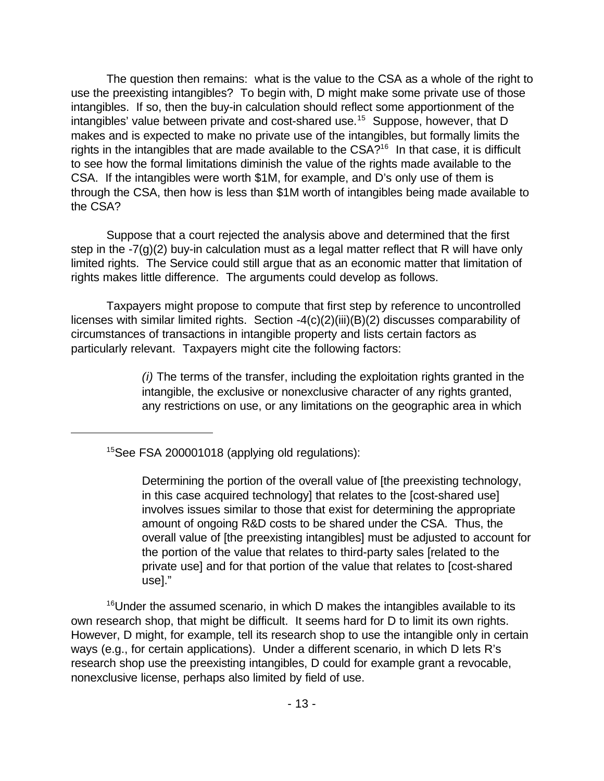The question then remains: what is the value to the CSA as a whole of the right to use the preexisting intangibles? To begin with, D might make some private use of those intangibles. If so, then the buy-in calculation should reflect some apportionment of the intangibles' value between private and cost-shared use.<sup>15</sup> Suppose, however, that D makes and is expected to make no private use of the intangibles, but formally limits the rights in the intangibles that are made available to the  $CSA?$ <sup>16</sup> In that case, it is difficult to see how the formal limitations diminish the value of the rights made available to the CSA. If the intangibles were worth \$1M, for example, and D's only use of them is through the CSA, then how is less than \$1M worth of intangibles being made available to the CSA?

Suppose that a court rejected the analysis above and determined that the first step in the  $-7(g)(2)$  buy-in calculation must as a legal matter reflect that R will have only limited rights. The Service could still argue that as an economic matter that limitation of rights makes little difference. The arguments could develop as follows.

Taxpayers might propose to compute that first step by reference to uncontrolled licenses with similar limited rights. Section -4(c)(2)(iii)(B)(2) discusses comparability of circumstances of transactions in intangible property and lists certain factors as particularly relevant. Taxpayers might cite the following factors:

> *(i)* The terms of the transfer, including the exploitation rights granted in the intangible, the exclusive or nonexclusive character of any rights granted, any restrictions on use, or any limitations on the geographic area in which

<sup>15</sup>See FSA 200001018 (applying old regulations):

Determining the portion of the overall value of [the preexisting technology, in this case acquired technology] that relates to the [cost-shared use] involves issues similar to those that exist for determining the appropriate amount of ongoing R&D costs to be shared under the CSA. Thus, the overall value of [the preexisting intangibles] must be adjusted to account for the portion of the value that relates to third-party sales [related to the private use] and for that portion of the value that relates to [cost-shared use]."

<sup>16</sup>Under the assumed scenario, in which D makes the intangibles available to its own research shop, that might be difficult. It seems hard for D to limit its own rights. However, D might, for example, tell its research shop to use the intangible only in certain ways (e.g., for certain applications). Under a different scenario, in which D lets R's research shop use the preexisting intangibles, D could for example grant a revocable, nonexclusive license, perhaps also limited by field of use.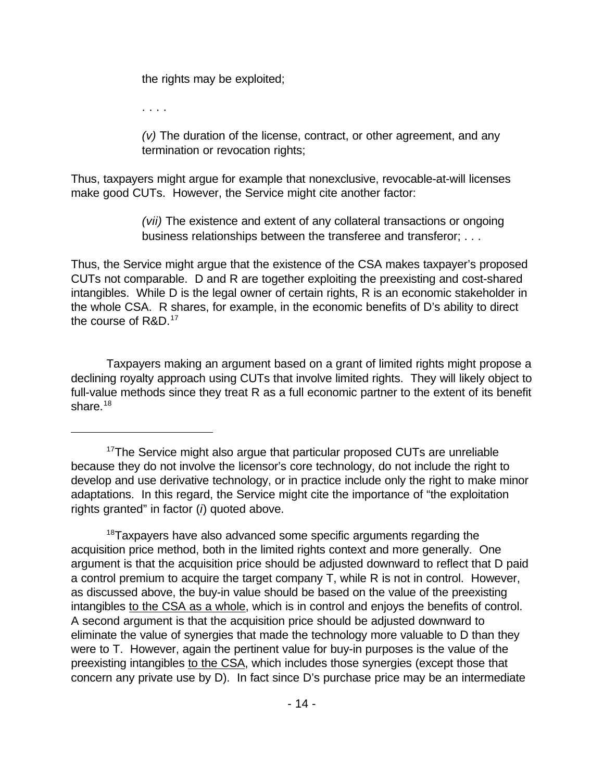the rights may be exploited;

. . . .

*(v)* The duration of the license, contract, or other agreement, and any termination or revocation rights;

Thus, taxpayers might argue for example that nonexclusive, revocable-at-will licenses make good CUTs. However, the Service might cite another factor:

> *(vii)* The existence and extent of any collateral transactions or ongoing business relationships between the transferee and transferor; . . .

Thus, the Service might argue that the existence of the CSA makes taxpayer's proposed CUTs not comparable. D and R are together exploiting the preexisting and cost-shared intangibles. While D is the legal owner of certain rights, R is an economic stakeholder in the whole CSA. R shares, for example, in the economic benefits of D's ability to direct the course of R&D.<sup>17</sup>

Taxpayers making an argument based on a grant of limited rights might propose a declining royalty approach using CUTs that involve limited rights. They will likely object to full-value methods since they treat R as a full economic partner to the extent of its benefit share. $18$ 

<sup>&</sup>lt;sup>17</sup>The Service might also argue that particular proposed CUTs are unreliable because they do not involve the licensor's core technology, do not include the right to develop and use derivative technology, or in practice include only the right to make minor adaptations. In this regard, the Service might cite the importance of "the exploitation rights granted" in factor (*i*) quoted above.

<sup>&</sup>lt;sup>18</sup>Taxpayers have also advanced some specific arguments regarding the acquisition price method, both in the limited rights context and more generally. One argument is that the acquisition price should be adjusted downward to reflect that D paid a control premium to acquire the target company T, while R is not in control. However, as discussed above, the buy-in value should be based on the value of the preexisting intangibles to the CSA as a whole, which is in control and enjoys the benefits of control. A second argument is that the acquisition price should be adjusted downward to eliminate the value of synergies that made the technology more valuable to D than they were to T. However, again the pertinent value for buy-in purposes is the value of the preexisting intangibles to the CSA, which includes those synergies (except those that concern any private use by D). In fact since D's purchase price may be an intermediate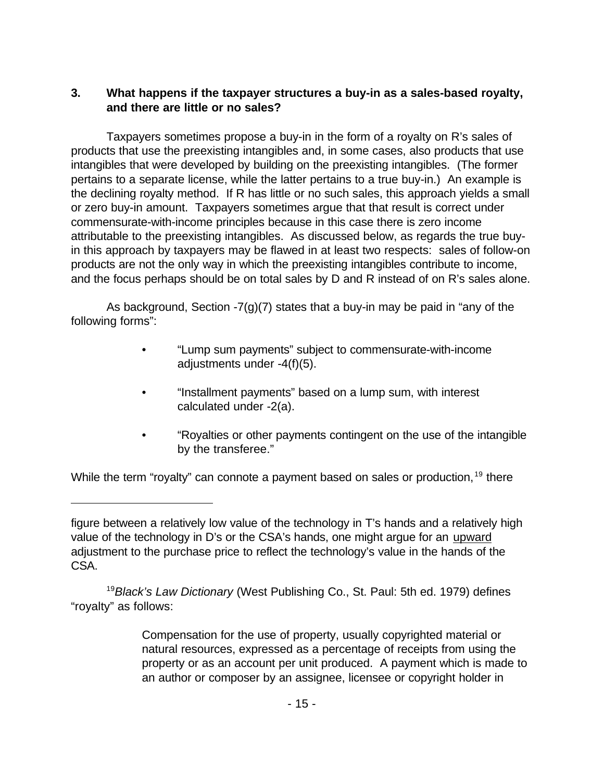# **3. What happens if the taxpayer structures a buy-in as a sales-based royalty, and there are little or no sales?**

Taxpayers sometimes propose a buy-in in the form of a royalty on R's sales of products that use the preexisting intangibles and, in some cases, also products that use intangibles that were developed by building on the preexisting intangibles. (The former pertains to a separate license, while the latter pertains to a true buy-in.) An example is the declining royalty method. If R has little or no such sales, this approach yields a small or zero buy-in amount. Taxpayers sometimes argue that that result is correct under commensurate-with-income principles because in this case there is zero income attributable to the preexisting intangibles. As discussed below, as regards the true buyin this approach by taxpayers may be flawed in at least two respects: sales of follow-on products are not the only way in which the preexisting intangibles contribute to income, and the focus perhaps should be on total sales by D and R instead of on R's sales alone.

As background, Section  $-7(g)(7)$  states that a buy-in may be paid in "any of the following forms":

- "Lump sum payments" subject to commensurate-with-income adjustments under -4(f)(5).
- "Installment payments" based on a lump sum, with interest calculated under -2(a).
- "Royalties or other payments contingent on the use of the intangible by the transferee."

While the term "royalty" can connote a payment based on sales or production,<sup>19</sup> there

<sup>19</sup>*Black's Law Dictionary* (West Publishing Co., St. Paul: 5th ed. 1979) defines "royalty" as follows:

> Compensation for the use of property, usually copyrighted material or natural resources, expressed as a percentage of receipts from using the property or as an account per unit produced. A payment which is made to an author or composer by an assignee, licensee or copyright holder in

figure between a relatively low value of the technology in T's hands and a relatively high value of the technology in D's or the CSA's hands, one might argue for an upward adjustment to the purchase price to reflect the technology's value in the hands of the CSA.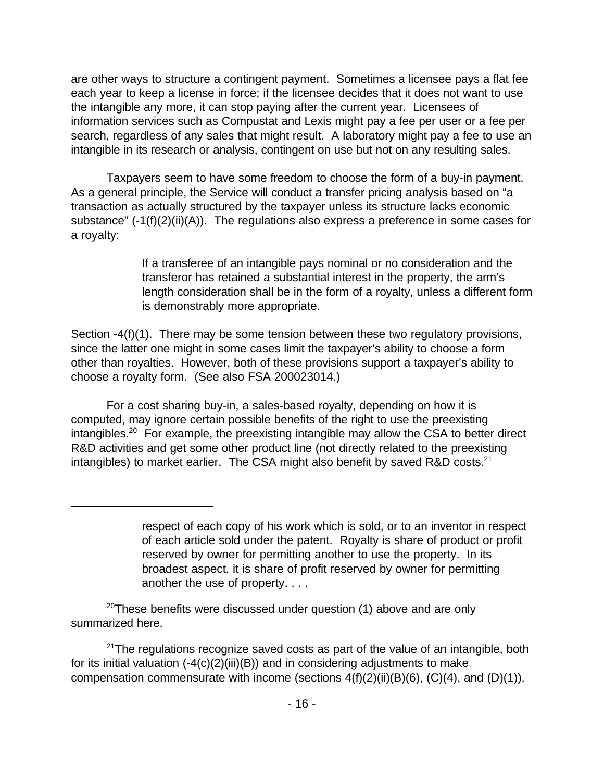are other ways to structure a contingent payment. Sometimes a licensee pays a flat fee each year to keep a license in force; if the licensee decides that it does not want to use the intangible any more, it can stop paying after the current year. Licensees of information services such as Compustat and Lexis might pay a fee per user or a fee per search, regardless of any sales that might result. A laboratory might pay a fee to use an intangible in its research or analysis, contingent on use but not on any resulting sales.

Taxpayers seem to have some freedom to choose the form of a buy-in payment. As a general principle, the Service will conduct a transfer pricing analysis based on "a transaction as actually structured by the taxpayer unless its structure lacks economic substance" (-1(f)(2)(ii)(A)). The regulations also express a preference in some cases for a royalty:

> If a transferee of an intangible pays nominal or no consideration and the transferor has retained a substantial interest in the property, the arm's length consideration shall be in the form of a royalty, unless a different form is demonstrably more appropriate.

Section -4(f)(1). There may be some tension between these two regulatory provisions, since the latter one might in some cases limit the taxpayer's ability to choose a form other than royalties. However, both of these provisions support a taxpayer's ability to choose a royalty form. (See also FSA 200023014.)

For a cost sharing buy-in, a sales-based royalty, depending on how it is computed, may ignore certain possible benefits of the right to use the preexisting intangibles.<sup>20</sup> For example, the preexisting intangible may allow the CSA to better direct R&D activities and get some other product line (not directly related to the preexisting intangibles) to market earlier. The CSA might also benefit by saved R&D costs. $^{21}$ 

 $20$ These benefits were discussed under question (1) above and are only summarized here.

 $21$ The regulations recognize saved costs as part of the value of an intangible, both for its initial valuation  $(-4(c)(2)(iii)(B))$  and in considering adjustments to make compensation commensurate with income (sections  $4(f)(2)(ii)(B)(6)$ ,  $(C)(4)$ , and  $(D)(1)$ ).

respect of each copy of his work which is sold, or to an inventor in respect of each article sold under the patent. Royalty is share of product or profit reserved by owner for permitting another to use the property. In its broadest aspect, it is share of profit reserved by owner for permitting another the use of property. . . .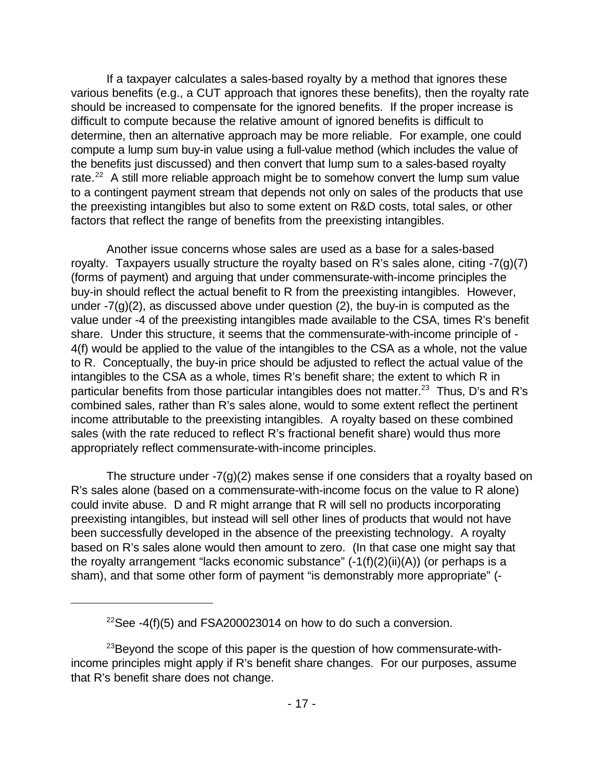If a taxpayer calculates a sales-based royalty by a method that ignores these various benefits (e.g., a CUT approach that ignores these benefits), then the royalty rate should be increased to compensate for the ignored benefits. If the proper increase is difficult to compute because the relative amount of ignored benefits is difficult to determine, then an alternative approach may be more reliable. For example, one could compute a lump sum buy-in value using a full-value method (which includes the value of the benefits just discussed) and then convert that lump sum to a sales-based royalty rate. $^{22}$  A still more reliable approach might be to somehow convert the lump sum value to a contingent payment stream that depends not only on sales of the products that use the preexisting intangibles but also to some extent on R&D costs, total sales, or other factors that reflect the range of benefits from the preexisting intangibles.

Another issue concerns whose sales are used as a base for a sales-based royalty. Taxpayers usually structure the royalty based on R's sales alone, citing -7(g)(7) (forms of payment) and arguing that under commensurate-with-income principles the buy-in should reflect the actual benefit to R from the preexisting intangibles. However, under  $-7(q)(2)$ , as discussed above under question (2), the buy-in is computed as the value under -4 of the preexisting intangibles made available to the CSA, times R's benefit share. Under this structure, it seems that the commensurate-with-income principle of - 4(f) would be applied to the value of the intangibles to the CSA as a whole, not the value to R. Conceptually, the buy-in price should be adjusted to reflect the actual value of the intangibles to the CSA as a whole, times R's benefit share; the extent to which R in particular benefits from those particular intangibles does not matter.<sup>23</sup> Thus, D's and R's combined sales, rather than R's sales alone, would to some extent reflect the pertinent income attributable to the preexisting intangibles. A royalty based on these combined sales (with the rate reduced to reflect R's fractional benefit share) would thus more appropriately reflect commensurate-with-income principles.

The structure under  $-7(g)(2)$  makes sense if one considers that a royalty based on R's sales alone (based on a commensurate-with-income focus on the value to R alone) could invite abuse. D and R might arrange that R will sell no products incorporating preexisting intangibles, but instead will sell other lines of products that would not have been successfully developed in the absence of the preexisting technology. A royalty based on R's sales alone would then amount to zero. (In that case one might say that the royalty arrangement "lacks economic substance"  $(-1(f)(2)(ii)(A))$  (or perhaps is a sham), and that some other form of payment "is demonstrably more appropriate" (-

<sup>&</sup>lt;sup>22</sup>See -4(f)(5) and FSA200023014 on how to do such a conversion.

<sup>&</sup>lt;sup>23</sup>Beyond the scope of this paper is the question of how commensurate-withincome principles might apply if R's benefit share changes. For our purposes, assume that R's benefit share does not change.